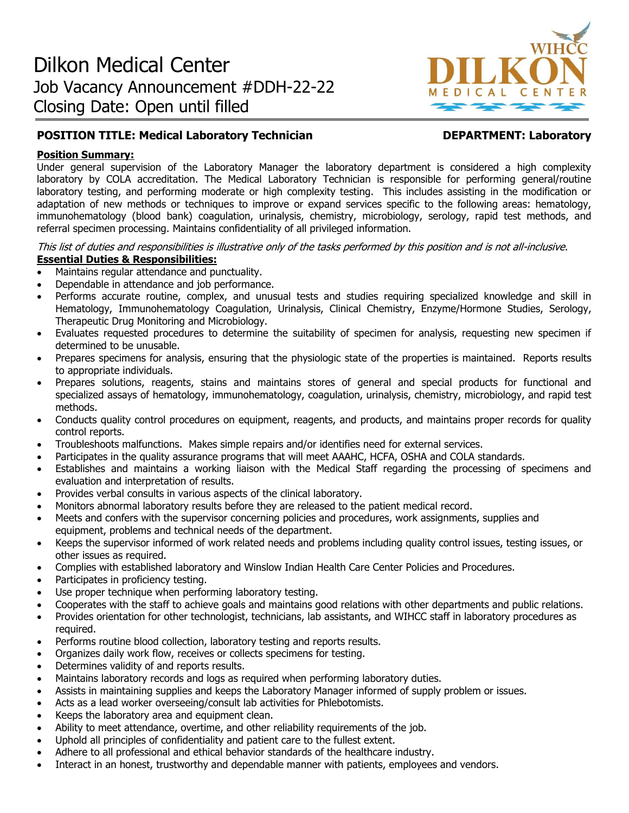

# **POSITION TITLE: Medical Laboratory Technician DEPARTMENT: Laboratory**

# **Position Summary:**

Under general supervision of the Laboratory Manager the laboratory department is considered a high complexity laboratory by COLA accreditation. The Medical Laboratory Technician is responsible for performing general/routine laboratory testing, and performing moderate or high complexity testing. This includes assisting in the modification or adaptation of new methods or techniques to improve or expand services specific to the following areas: hematology, immunohematology (blood bank) coagulation, urinalysis, chemistry, microbiology, serology, rapid test methods, and referral specimen processing. Maintains confidentiality of all privileged information.

This list of duties and responsibilities is illustrative only of the tasks performed by this position and is not all-inclusive. **Essential Duties & Responsibilities:**

- Maintains regular attendance and punctuality.
- Dependable in attendance and job performance.
- Performs accurate routine, complex, and unusual tests and studies requiring specialized knowledge and skill in Hematology, Immunohematology Coagulation, Urinalysis, Clinical Chemistry, Enzyme/Hormone Studies, Serology, Therapeutic Drug Monitoring and Microbiology.
- Evaluates requested procedures to determine the suitability of specimen for analysis, requesting new specimen if determined to be unusable.
- Prepares specimens for analysis, ensuring that the physiologic state of the properties is maintained. Reports results to appropriate individuals.
- Prepares solutions, reagents, stains and maintains stores of general and special products for functional and specialized assays of hematology, immunohematology, coagulation, urinalysis, chemistry, microbiology, and rapid test methods.
- Conducts quality control procedures on equipment, reagents, and products, and maintains proper records for quality control reports.
- Troubleshoots malfunctions. Makes simple repairs and/or identifies need for external services.
- Participates in the quality assurance programs that will meet AAAHC, HCFA, OSHA and COLA standards.
- Establishes and maintains a working liaison with the Medical Staff regarding the processing of specimens and evaluation and interpretation of results.
- Provides verbal consults in various aspects of the clinical laboratory.
- Monitors abnormal laboratory results before they are released to the patient medical record.
- Meets and confers with the supervisor concerning policies and procedures, work assignments, supplies and equipment, problems and technical needs of the department.
- Keeps the supervisor informed of work related needs and problems including quality control issues, testing issues, or other issues as required.
- Complies with established laboratory and Winslow Indian Health Care Center Policies and Procedures.
- Participates in proficiency testing.
- Use proper technique when performing laboratory testing.
- Cooperates with the staff to achieve goals and maintains good relations with other departments and public relations.
- Provides orientation for other technologist, technicians, lab assistants, and WIHCC staff in laboratory procedures as required.
- Performs routine blood collection, laboratory testing and reports results.
- Organizes daily work flow, receives or collects specimens for testing.
- Determines validity of and reports results.
- Maintains laboratory records and logs as required when performing laboratory duties.
- Assists in maintaining supplies and keeps the Laboratory Manager informed of supply problem or issues.
- Acts as a lead worker overseeing/consult lab activities for Phlebotomists.
- Keeps the laboratory area and equipment clean.
- Ability to meet attendance, overtime, and other reliability requirements of the job.
- Uphold all principles of confidentiality and patient care to the fullest extent.
- Adhere to all professional and ethical behavior standards of the healthcare industry.
- Interact in an honest, trustworthy and dependable manner with patients, employees and vendors.